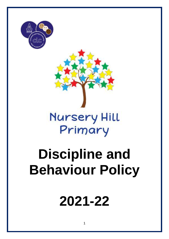



## **Nursery Hill** Primary

# **Discipline and Behaviour Policy**

## **2021-22**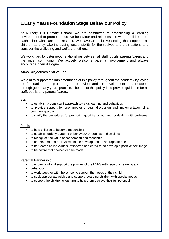### **1.Early Years Foundation Stage Behaviour Policy**

At Nursery Hill Primary School, we are committed to establishing a learning environment that promotes positive behaviour and relationships where children treat each other with care and respect. We have an inclusive setting that supports all children as they take increasing responsibility for themselves and their actions and consider the wellbeing and welfare of others.

We work hard to foster good relationships between all staff, pupils, parents/carers and the wider community. We actively welcome parental involvement and always encourage open dialogue.

#### **Aims, Objectives and values**

We aim to support the implementation of this policy throughout the academy by laying the foundations that promote good behaviour and the development of self-esteem through good early years practice. The aim of this policy is to provide guidance for all staff, pupils and parents/carers.

#### Staff

- to establish a consistent approach towards learning and behaviour;
- to provide support for one another through discussion and implementation of a common approach;
- to clarify the procedures for promoting good behaviour and for dealing with problems.

#### Pupils

- to help children to become responsible
- to establish orderly patterns of behaviour through self- discipline;
- to recognise the value of cooperation and friendship;
- to understand and be involved in the development of appropriate rules;
- to be treated as individuals, respected and cared for to develop a positive self image;
- to be aware that choices can be made.

#### Parental Partnership

- to understand and support the policies of the EYFS with regard to learning and
- behaviour;
- to work together with the school to support the needs of their child;
- to seek appropriate advice and support regarding children with special needs;
- to support the children's learning to help them achieve their full potential.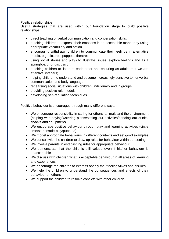#### Positive relationships

Useful strategies that are used within our foundation stage to build positive relationships

- direct teaching of verbal communication and conversation skills;
- teaching children to express their emotions in an acceptable manner by using appropriate vocabulary and action
- encouraging withdrawn children to communicate their feelings in alternative media, e.g. pictures, puppets, theatre;
- using social stories and plays to illustrate issues, explore feelings and as a springboard for discussion;
- teaching children to listen to each other and ensuring as adults that we are attentive listeners;
- helping children to understand and become increasingly sensitive to nonverbal communication and body language;
- rehearsing social situations with children, individually and in groups;
- providing positive role models;
- developing self-regulation techniques

Positive behaviour is encouraged through many different ways:-

- We encourage responsibility in caring for others, animals and the environment (helping with tidying/watering plants/setting out activities/handing out drinks, snacks and equipment)
- We encourage positive behaviour through play and learning activities (circle time/stories/role-play/puppets)
- We model appropriate behaviours in different contexts and set good examples
- We consult with the children to draw up rules for behaviour within our setting
- We involve parents in establishing rules for appropriate behaviour
- We demonstrate that the child is still valued even if his/her behaviour is unacceptable
- We discuss with children what is acceptable behaviour in all areas of learning and experiences
- We encourage the children to express openly their feelings/likes and dislikes
- We help the children to understand the consequences and effects of their behaviour on others
- We support the children to resolve conflicts with other children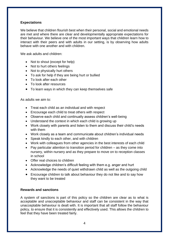#### **Expectations**

We believe that children flourish best when their personal, social and emotional needs are met and where there are clear and developmentally appropriate expectations for their behaviour. We believe one of the most important ways that children learn how to interact with their peers and with adults in our setting, is by observing how adults behave with one another and with children.

We ask adults and children:

- Not to shout (except for help)
- Not to hurt others feelings
- Not to physically hurt others
- To ask for help if they are being hurt or bullied
- To look after each other
- To look after resources
- To learn ways in which they can keep themselves safe

As adults we aim to:

- Treat each child as an individual and with respect
- Encourage each child to treat others with respect
- Observe each child and continually assess children's well-being
- Understand the context in which each child is growing up
- Work closely with parents and listen to them and discuss their child's needs with them
- Work closely as a team and communicate about children's individual needs
- Speak kindly to each other, and with children
- Work with colleagues from other agencies in the best interests of each child
- Pay particular attention to transition period for children as they come into nursery, within nursery and as they prepare to move on to reception classes in school
- Offer real choices to children
- Acknowledge children's difficult feeling with them e.g. anger and hurt
- Acknowledge the needs of quiet withdrawn child as well as the outgoing child
- Encourage children to talk about behaviour they do not like and to say how they want to be treated

#### **Rewards and sanctions**

A system of sanctions is part of this policy so the children are clear as to what is acceptable and unacceptable behaviour and staff can be consistent in the way that unacceptable behaviour is dealt with. It is important that all staff follow the behaviour policy, to ensure that it is consistently and effectively used. This allows the children to feel that they have been treated fairly.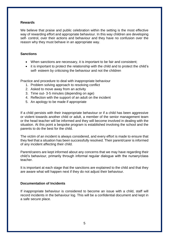#### **Rewards**

We believe that praise and public celebration within the setting is the most effective way of rewarding effort and appropriate behaviour. In this way children are developing self- control, over their actions and behaviour and they have no confusion over the reason why they must behave in an appropriate way.

#### **Sanctions**

- When sanctions are necessary, it is important to be fair and consistent;
- it is important to protect the relationship with the child and to protect the child's self- esteem by criticising the behaviour and not the children

Practice and procedure to deal with inappropriate behaviour

- 1. Problem solving approach to resolving conflict
- 2. Asked to move away from an activity
- 3. Time out- 3-5 minutes (depending on age)
- 4. Reflection with the support of an adult on the incident
- 5. An apology to be made if appropriate

If a child persists with their inappropriate behaviour or if a child has been aggressive or violent towards another child or adult, a member of the senior management team or the head teacher will be informed and they will become involved in dealing with the situation. At this point a bespoke program is established involving the school and the parents to do the best for the child.

The victim of an incident is always considered, and every effort is made to ensure that they feel that a situation has been successfully resolved. Their parent/carer is informed of any incident affecting their child.

Parent/carers are kept informed about any concerns that we may have regarding their child's behaviour, primarily through informal regular dialogue with the nursery/class teacher.

It is important at each stage that the sanctions are explained to the child and that they are aware what will happen next if they do not adjust their behaviour.

#### **Documentation of Incidents**

If inappropriate behaviour is considered to become an issue with a child, staff will record incidents in the behaviour log. This will be a confidential document and kept in a safe secure place.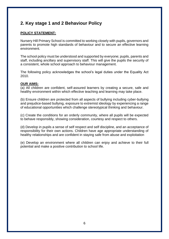## **2. Key stage 1 and 2 Behaviour Policy**

#### **POLICY STATEMENT:**

Nursery Hill Primary School is committed to working closely with pupils, governors and parents to promote high standards of behaviour and to secure an effective learning environment.

The school policy must be understood and supported by everyone; pupils, parents and staff, including ancillary and supervisory staff. This will give the pupils the security of a consistent, whole school approach to behaviour management.

The following policy acknowledges the school's legal duties under the Equality Act 2010.

#### **OUR AIMS:**

(a) All children are confident, self-assured learners by creating a secure, safe and healthy environment within which effective teaching and learning may take place.

(b) Ensure children are protected from all aspects of bullying including cyber-bullying and prejudice-based bullying, exposure to extremist ideology by experiencing a range of educational opportunities which challenge stereotypical thinking and behaviour.

(c) Create the conditions for an orderly community, where all pupils will be expected to behave responsibly, showing consideration, courtesy and respect to others.

(d) Develop in pupils a sense of self respect and self discipline, and an acceptance of responsibility for their own actions. Children have age appropriate understanding of healthy relationships and are confident in staying safe from abuse and exploitation

(e) Develop an environment where all children can enjoy and achieve to their full potential and make a positive contribution to school life.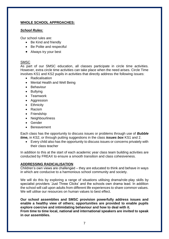#### **WHOLE SCHOOL APPROACHES:**

#### *School Rules:*

Our school rules are:

- Be Kind and friendly
- Be Polite and respectful
- Always try your best

#### **SMSC**

As part of our SMSC education, all classes participate in circle time activities. However, extra circle time activities can take place when the need arises. Circle Time involves KS1 and KS2 pupils in activities that directly address the following issues:

- Radicalisation
- Mental Health and Well Being
- Behaviour
- Bullying
- Teamwork
- Aggression
- Ethnicity
- Racism
- Friendship
- Neighbourliness
- Gender
- Bereavement

Each class has the opportunity to discuss issues or problems through use of *Bubble time,* in KS2, or through putting suggestions in the class *issues box* KS1 and 2.

• Every child also has the opportunity to discuss issues or concerns privately with their class teacher

In addition to this at the start of each academic year class team building activities are conducted by FREAX to ensure a smooth transition and class cohesiveness.

#### **ADDRESSING RADICALISATION**

Children's own views are challenged – they are educated to think and behave in ways in which are conducive to a harmonious school community and society.

We will do this by exploring a range of situations utilising drama/role-play skills by specialist providers 'Just Three Clicks' and the schools own drama lead. In addition the school will call upon adults from different life experiences to share common values. We will utilise our resources on human values to best effect.

**Our school assemblies and SMSC provision powerfully address issues and enable a healthy view of others; opportunities are provided to enable pupils explore coercive and intimidating behaviour and how to deal with it. From time to time local, national and international speakers are invited to speak in our assemblies.**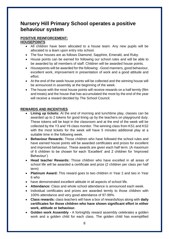## **Nursery Hill Primary School operates a positive behaviour system**

#### **POSITIVE REINFORCEMENT:**

#### **HOUSEPOINTS**

- All children have been allocated to a house team. Any new pupils will be allocated to a team upon entry into school.
- The four houses are as follows Diamond, Sapphire, Emerald, and Ruby.
- House points can be earned for following our school rules and will be able to be awarded by all members of staff. Children will be awarded house points.
- Housepoints will be awarded for the following: -Good manners, good behaviour, excellent work, improvement in presentation of work and a good attitude and effort.
- At the end of the week house points will be collected and the winning house will be announced in assembly at the beginning of the week.
- The house with the most house points will receive rewards on a half termly (film and treats) and the house that has accumulated the most by the end of the year will receive a reward decided by The School Council.

#### **REWARDS AND INCENTIVES**

- **Lining up tickets:** At the end of morning and lunchtime play, classes can be awarded up to 2 tokens for good lining up by the teachers on playground duty. These tokens will be kept in the classroom and at the end of the week will be collected by the Y3 and Y6 class monitor. The winning class from KS1 and KS2 with the most tickets for the week will have 5 minutes additional play at a suitable time in the following week.
- **Behaviour Rewards:** Those children who have followed the school rules and have earned house points will be awarded certificates and prizes for excellent and improved behaviour. These awards are given each half term. (A maximum of 6 children to be chosen for each 'Excellent' and 2 children for 'Improved Behaviour')
- **Head teacher Rewards:** Those children who have excelled in all areas of school life will be awarded a certificate and prize (2 children per class per half term)
- **Platinum Award:** This reward goes to two children in Year 2 and two in Year 6 who
- have demonstrated excellent attitude in all aspects of school life.
- **Attendance:** Class and whole school attendance is announced each week.
- Individual certificates and prizes are awarded termly to those children with 100% attendance and very good attendance of 97-99%.
- **Class rewards:** class teachers will have a box of rewards/toys along with **daily certificates for those children who have shown significant effort in either work, attitude or behaviour.**
- **Golden work Assembly -** A fortnightly reward assembly celebrates a golden work and a golden child for each class. The golden child has exemplified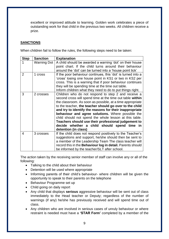excellent or improved attitude to learning. Golden work celebrates a piece of outstanding work for that child in the previous two weeks. All children receive a prize.

#### **SANCTIONS**

When children fail to follow the rules, the following steps need to be taken:

| <b>Step</b>    | <b>Sanction</b> | <b>Explanation</b>                                                                                                                                                                                                                                                                                                                                                                                                                                                                                                                               |
|----------------|-----------------|--------------------------------------------------------------------------------------------------------------------------------------------------------------------------------------------------------------------------------------------------------------------------------------------------------------------------------------------------------------------------------------------------------------------------------------------------------------------------------------------------------------------------------------------------|
|                | Warning Dot     | A child should be awarded a warning 'dot' on their house<br>point chart. If the child turns around their behaviour<br>around the 'dot' can be turned into a 'house point tick'                                                                                                                                                                                                                                                                                                                                                                   |
| $\overline{2}$ | 1 cross         | If the poor behaviour continues, this 'dot' is turned into a<br>'cross' losing one house point in KS1 or two in KS2 per<br>cross. This is a warning that if poor behaviour continues<br>they will be spending time at the time out table.<br>Inform children what they need to do to put things right.                                                                                                                                                                                                                                           |
| 3              | 2 crosses       | Children who do not respond to step 2 and receive a<br>second cross will spend time at the time out table within<br>the classroom. As soon as possible, at a time appropriate<br>to the teacher, the teacher should go over to the child<br>and try to identify the reasons for their inappropriate<br>behaviour and agree solutions. Where possible the<br>child should not spend the whole lesson at this table.<br>Teachers should use their professional judgement to<br>decide whether a child should spend time in<br>detention (in class) |
| 4              | 3 crosses       | If the child does not respond positively to the Teacher's<br>suggestions and support, he/she should then be sent to<br>a member of the Leadership Team The class teacher will<br>record this in the Behaviour log in detail. Parents should<br>be informed by the teacher/SLT after school.                                                                                                                                                                                                                                                      |

The action taken by the receiving senior member of staff can involve any or all of the following:

- Talking to the child about their behaviour
- Detention will be used where appropriate
- Informing parents of their child's behaviour- where children will be given the opportunity to speak to their parents on the telephone
- Behaviour Programme set up
- Child going on daily report
- Any child that displays **serious** aggressive behaviour will be sent out of class immediately to the Head teacher or Deputy; regardless of the number of warnings (if any) he/she has previously received and will spend time out of class.
- Any children who are involved in serious cases of unruly behaviour or where restraint is needed must have a **'STAR Form'** completed by a member of the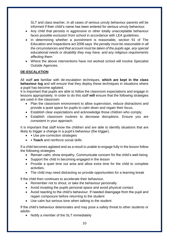SLT and class teacher**.** In all cases of serious unruly behaviour parents will be informed if their child's name has been entered for serious unruly behaviour.

- Any child that persists in aggressive or other totally unacceptable behaviour faces possible exclusion from school in accordance with LEA guidelines.
- In determining whether a punishment is reasonable, section 91 of The Education and Inspections act 2006 says '*the penalty must be reasonable in all the circumstances and that account must be taken of the pupils age, any special educational needs or disability they may have, and any religious requirements affecting them.'*
- Where the above interventions have not worked school will involve Specialist Outside Agencies.

#### **DE-ESCALATION**

All staff **are** familiar with de-escalation techniques, **which are kept in the class behaviour log** and will ensure that they deploy these techniques in situations where a pupil has become agitated.

It is important that pupils are able to follow the classroom expectations and engage in lessons appropriately. In order to do this staff **will** ensure that the following strategies are used in the classroom

- Plan the classroom environment to allow supervision, reduce distractions and provide a quiet space for pupils to calm down and regain their focus.
- Establish clear expectations and acknowledge those children who comply.
- Establish classroom routines to decrease disruptions. Ensure you are consistent in your approach.

It is important that staff know the children and are able to identify situations that are likely to trigger a change in a pupil's behaviour (the trigger).

- • Use pre-correction strategies
- • **Teach** and reinforce social skills

If a child becomes agitated and as a result is unable to engage fully in the lesson follow the following strategies

- Remain calm, show empathy. Communicate concern for the child's well-being
- Support the child in becoming engaged in the lesson
- Provide a quiet time out area and allow extra time for the child to complete activities.
- The child may need distracting so provide opportunities for a learning break

If the child then continues to accelerate their behaviour,

- Remember not to shout, or take the behaviour personally.
- Avoid invading the pupils personal space and avoid physical contact
- Avoid reacting to the child's behaviour. If needed disengage from the pupil and regain composure before returning to the student
- Use calm but serious tone when talking to the student

If the child's behaviour deteriorates and may pose a safety threat to other students or adults-

• Notify a member of the SLT immediately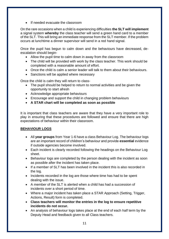• If needed evacuate the classroom

On the rare occasions when a child is experiencing difficulties **the SLT will implement**  a signal system **whereby** the class teacher will send a green hand card to a member of the SLT. This will bring an immediate response from the SLT member. If the problem occurs at lunchtime a dinner supervisor will send in a red hand signal.

Once the pupil has begun to calm down and the behaviours have decreased, deescalation should begin-

- Allow the pupil time to calm down in away from the classroom
- The child will be provided with work by the class teacher. This work should be completed with a reasonable amount of effort.
- Once the child is calm a senior leader will talk to them about their behaviours.
- Sanctions will be applied where necessary

Once the child is calm they will return to class-

- The pupil should be helped to return to normal activities and be given the opportunity to start afresh
- Acknowledge appropriate behaviours
- Encourage and support the child in changing problem behaviours
- **A STAR chart will be completed as soon as possible**

It is important that class teachers are aware that they have a very important role to play in ensuring that these procedures are followed and ensure that there are high expectations of behaviour within their classroom.

#### **BEHAVIOUR LOGS**

- All **year groups** from Year 1-6 have a class Behaviour Log. The behaviour logs are an important record of children's behaviour and provide **essential** evidence if outside agencies become involved.
- Each incident is clearly recorded following the headings on the Behaviour Log sheet.
- Behaviour logs are completed by the person dealing with the incident as soon as possible after the incident has taken place.
- If a member of SLT has been involved in the incident this is also recorded in the log.
- Incidents recorded in the log are those where time has had to be spent dealing with the issue.
- A member of the SLT is alerted when a child has had a succession of incidents over a short period of time.
- Where a major incident has taken place a STAR Approach (Setting, Trigger, Actions, Result) form is completed.
- **Class teachers will monitor the entries in the log to ensure repetitive incidents do not occur.**
- An analysis of behaviour logs takes place at the end of each half term by the Deputy Head and feedback given to all Class teachers.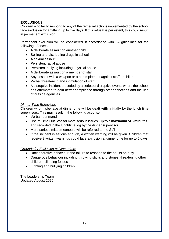#### **EXCLUSIONS**

Children who fail to respond to any of the remedial actions implemented by the school face exclusion for anything up to five days. If this refusal is persistent, this could result in permanent exclusion.

Permanent exclusion will be considered in accordance with LA guidelines for the following offences:

- A deliberate assault on another child
- Selling and distributing drugs in school
- A sexual assault
- Persistent racial abuse
- Persistent bullying including physical abuse
- A deliberate assault on a member of staff
- Any assault with a weapon or other implement against staff or children
- Verbal threatening and intimidation of staff
- A disruptive incident preceded by a series of disruptive events where the school has attempted to gain better compliance through other sanctions and the use of outside agencies

#### *Dinner Time Behaviour:*

Children who misbehave at dinner time will be **dealt with initially** by the lunch time supervisors. This may result in the following actions:-

- Verbal reprimand
- Use of Time Out Stop for more serious issues (**up to a maximum of 5 minutes**) and recorded in the lunchtime log by the dinner supervisor.
- More serious misdemeanours will be referred to the SLT.
- If the incident is serious enough, a written warning will be given. Children that receive 3 written warnings could face exclusion at dinner time for up to 5 days

#### *Grounds for Exclusion at Dinnertime:*

- Uncooperative behaviour and failure to respond to the adults on duty
- Dangerous behaviour including throwing sticks and stones, threatening other children, climbing fences
- Fighting and bullving children

The Leadership Team Updated August 2020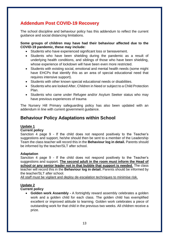## **Addendum Post COVID-19 Recovery**

The school discipline and behaviour policy has this addendum to reflect the current guidance and social distancing limitations.

#### **Some groups of children may have had their behaviour affected due to the COVID-19 pandemic, these may include:**

- Students who have experienced significant loss or bereavement.
- Students who have been shielding during the pandemic as a result of underlying health conditions, and siblings of those who have been shielding, whose experience of lockdown will have been even more restricted.
- Students with existing social, emotional and mental health needs (some might have EHCPs that identify this as an area of special educational need that requires intensive support).
- Students with other known special educational needs or disabilities.
- Students who are looked After, Children in Need or subject to a Child Protection Plan.
- Students who came under Refugee and/or Asylum Seeker status who may have previous experiences of trauma

The Nursery Hill Primary safeguarding policy has also been updated with an addendum in line with current government guidance.

## **Behaviour Policy Adaptations within School**

#### **Update 1**

#### **Current policy**

Sanction 4 page 9 - If the child does not respond positively to the Teacher's suggestions and support, he/she should then be sent to a member of the Leadership Team the class teacher will record this in the **Behaviour log in detail.** Parents should be informed by the teacher/SLT after school.

#### **Adaptation**

Sanction 4 page 9 - If the child does not respond positively to the Teacher's suggestions and support. **The second adult in the room must inform the Head of school or any senior leader not in that bubble that support is needed**. The class teacher will record this in the **Behaviour log in detail.** Parents should be informed by the teacher/SLT after school.

All staff must be vigilant and deploy de-escalation techniques to minimise risk.

#### **Update 2**

#### **Current policy**

• **Golden work Assembly -** A fortnightly reward assembly celebrates a golden work and a golden child for each class. The golden child has exemplified excellent or improved attitude to learning. Golden work celebrates a piece of outstanding work for that child in the previous two weeks. All children receive a prize.